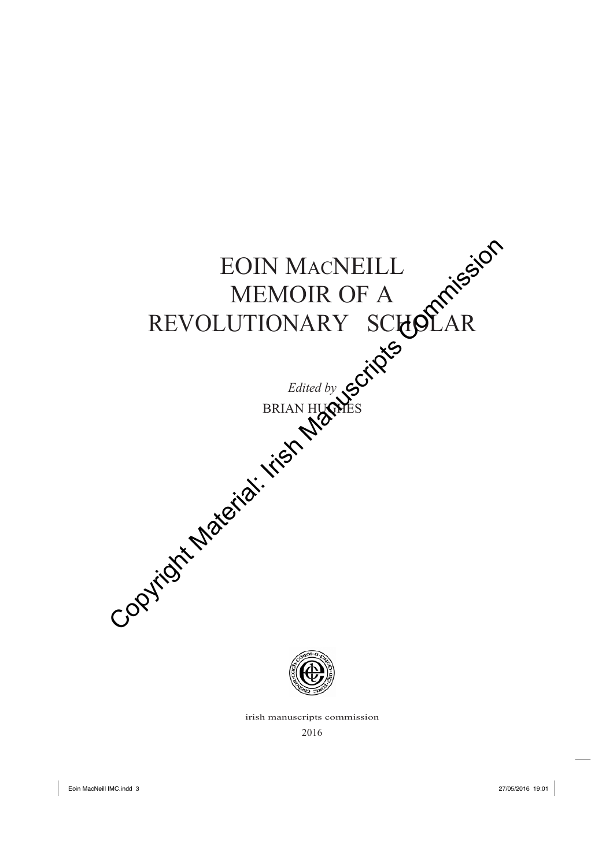

irish manuscripts commission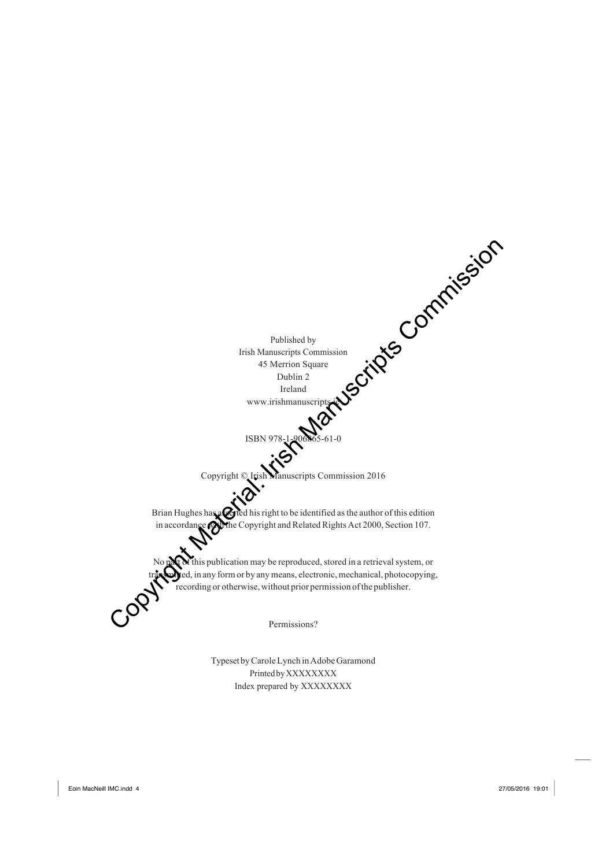

Typeset by Carole Lynch in Adobe Garamond PrintedbyXXXXXXXX Index prepared by XXXXXXXX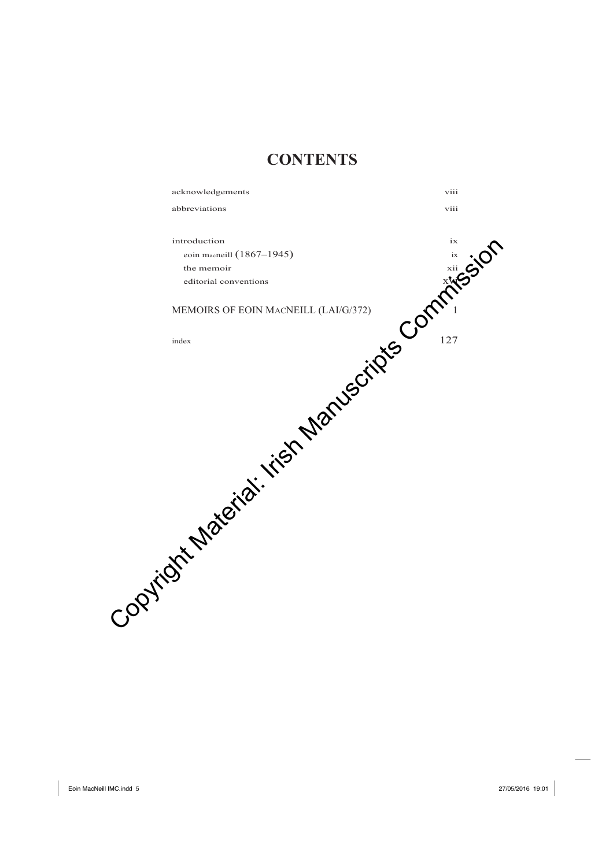# **CONTENTS**

acknowledgements viii abbreviations viii introduction ix eoin macneill (1867–1945) ix the memoir xii editorial conventions  $x\mathbf{v}$ MEMOIRS OF EOIN MACNEILL  $(LAI/G/372)$  $\epsilon$  127 Entroduction Communications MEMORIAL CANGELL (LAIG) 72)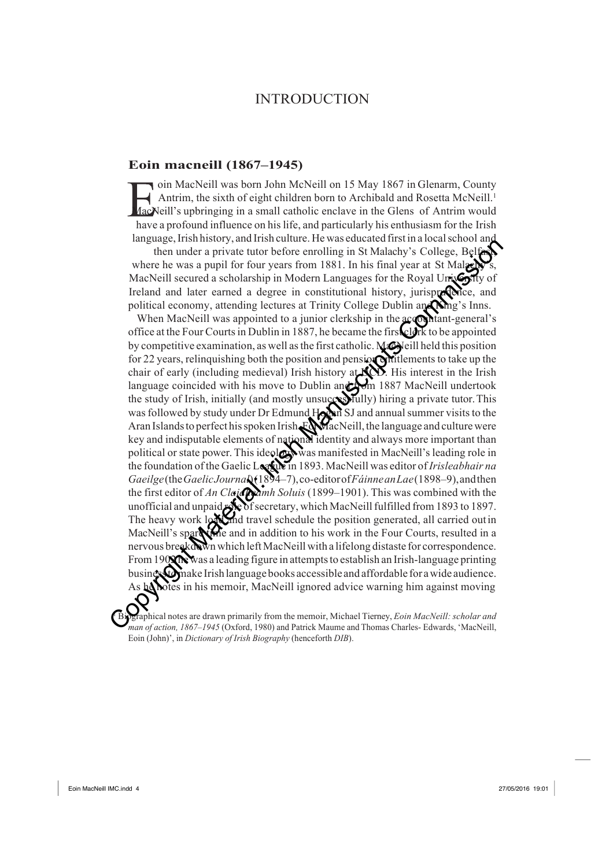## **INTRODUCTION**

### **Eoin macneill (1867–1945)**

oin MacNeill was born John McNeill on 15 May 1867 in Glenarm, County Antrim, the sixth of eight children born to Archibald and Rosetta McNeill.<sup>1</sup> MacNeill's upbringing in a small catholic enclave in the Glens of Antrim would have a profound influence on hislife, and particularly his enthusiasm for the Irish language, Irish history, and Irish culture. He was educated first in a local school and

then under a private tutor before enrolling in St Malachy's College, Belf where he was a pupil for four years from 1881. In his final year at St Malag MacNeill secured a scholarship in Modern Languages for the Royal University of Ireland and later earned a degree in constitutional history, jurisprace and political economy, attending lectures at Trinity College Dublin and Ning's Inns.

When MacNeill was appointed to a junior clerkship in the accountant-general's office at the Four Courtsin Dublin in 1887, he became the first clerk to be appointed by competitive examination, as well as the first catholic. MacNeill held this position for 22 years, relinquishing both the position and pension entitlements to take up the chair of early (including medieval) Irish history at **NOD**. His interest in the Irish language coincided with his move to Dublin and from 1887 MacNeill undertook the study of Irish, initially (and mostly unsuccessfully) hiring a private tutor.This was followed by study under Dr Edmund Hogan SJ and annual summer visits to the Aran Islands to perfect his spoken Irish.FordacNeill, the language and culture were key and indisputable elements of national identity and always more important than political or state power. This ideology was manifested in MacNeill's leading role in the foundation of the Gaelic League in 1893. MacNeill was editor of *Irisleabhair na Gaeilge*(the*GaelicJournal*)(1894–7),co-editorof*FáinneanLae*(1898–9),andthen the first editor of *An Claidheamh Soluis* (1899–1901). This was combined with the unofficial and unpaid  $\sqrt{8}$  of secretary, which MacNeill fulfilled from 1893 to 1897. The heavy work load and travel schedule the position generated, all carried out in MacNeill's spare the and in addition to his work in the Four Courts, resulted in a nervous breakdown which left MacNeill with a lifelong distaste for correspondence. From 1902 he was a leading figure in attempts to establish an Irish-language printing business of make Irish language books accessible and affordable for a wide audience. As he hotes in his memoir, MacNeill ignored advice warning him against moving manual commission, the mass applif of the resolution of the matterial of the model and year at SM Maler and SM Manuscripts (MacRosil scene of the Royal Universe from 1881. In his final year at SM Manuscripts of MacRosil s

<sup>1</sup> Biographical notes are drawn primarily from the memoir, Michael Tierney, *Eoin MacNeill: scholar and man of action, 1867–1945* (Oxford, 1980) and Patrick Maume and Thomas Charles- Edwards, 'MacNeill, Eoin (John)', in *Dictionary of Irish Biography* (henceforth *DIB*).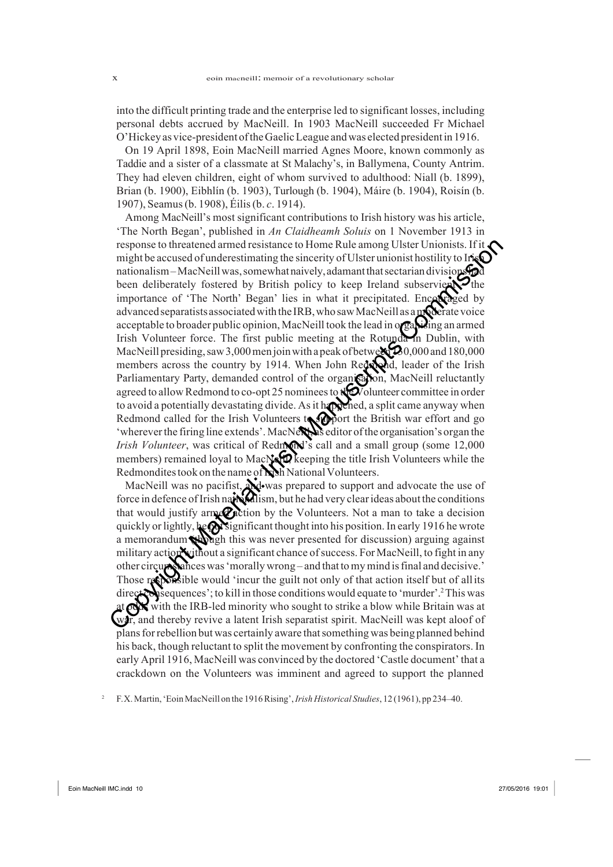into the difficult printing trade and the enterprise led to significant losses, including personal debts accrued by MacNeill. In 1903 MacNeill succeeded Fr Michael O'Hickey as vice-president oftheGaelicLeague andwas elected presidentin 1916.

On 19 April 1898, Eoin MacNeill married Agnes Moore, known commonly as Taddie and a sister of a classmate at St Malachy's, in Ballymena, County Antrim. They had eleven children, eight of whom survived to adulthood: Niall (b. 1899), Brian (b. 1900), Eibhlín (b. 1903), Turlough (b. 1904), Máire (b. 1904), Roisín (b. 1907), Seamus(b. 1908), Éilis(b. *c*. 1914).

Among MacNeill's most significant contributions to Irish history was his article, 'The North Began', published in *An Claidheamh Soluis* on 1 November 1913 in response to threatened armed resistance to Home Rule among Ulster Unionists. If it might be accused of underestimating the sincerity of Ulster unionist hostility to Irish nationalism–MacNeillwas, somewhat naively, adamant that sectarian divisionship been deliberately fostered by British policy to keep Ireland subservierty the importance of 'The North' Began' lies in what it precipitated. Encouraged advanced separatists associated with the IRB, who saw MacNeill as a moderate voice acceptable to broader public opinion, MacNeill took the lead in organizing an armed Irish Volunteer force. The first public meeting at the Rotunda in Dublin, with MacNeill presiding, saw 3,000 men join with a peak of between  $20,000$  and 180,000 members across the country by 1914. When John Redmond, leader of the Irish Parliamentary Party, demanded control of the organication, MacNeill reluctantly agreed to allow Redmond to co-opt 25 nominees to the Volunteer committee in order to avoid a potentially devastating divide. As it happened, a split came anyway when Redmond called for the Irish Volunteers to support the British war effort and go 'wherever the firing line extends'. MacNere is editor of the organisation's organ the *Irish Volunteer*, was critical of Redmond's call and a small group (some 12,000) members) remained loyal to MacNeill Reeping the title Irish Volunteers while the Redmondites took on the name of **N**<sub>sh</sub> National Volunteers. response to threatened armed resistance to Home Rule among Ulster Unionists. If it<br>maition aism—MacNeilly very mean that it precipitated introductively to the<br>mationalism—MacNeilly of the mean that it precipitated and susc

MacNeill was no pacifist, Nowas prepared to support and advocate the use of force in defence of Irish nationalism, but he had very clear ideas about the conditions that would justify arm  $\mathcal{O}_1$  tion by the Volunteers. Not a man to take a decision quickly or lightly, he putsignificant thought into his position. In early 1916 he wrote a memorandum subagh this was never presented for discussion) arguing against military action without a significant chance of success. For MacNeill, to fight in any other circumstanceswas'morally wrong – and that tomymind isfinal and decisive.' Those responsible would 'incur the guilt not only of that action itself but of all its direct consequences'; to kill in those conditions would equate to 'murder'.<sup>2</sup>This was at **odds** with the IRB-led minority who sought to strike a blow while Britain was at war, and thereby revive a latent Irish separatist spirit. MacNeill was kept aloof of plansforrebellion butwas certainly aware thatsomething was being planned behind his back, though reluctant to split the movement by confronting the conspirators. In early April 1916, MacNeill was convinced by the doctored 'Castle document' that a crackdown on the Volunteers was imminent and agreed to support the planned

<sup>2</sup> F.X.Martin,'EoinMacNeill on the 1916Rising',*Irish Historical Studies*, 12 (1961), pp 234–40.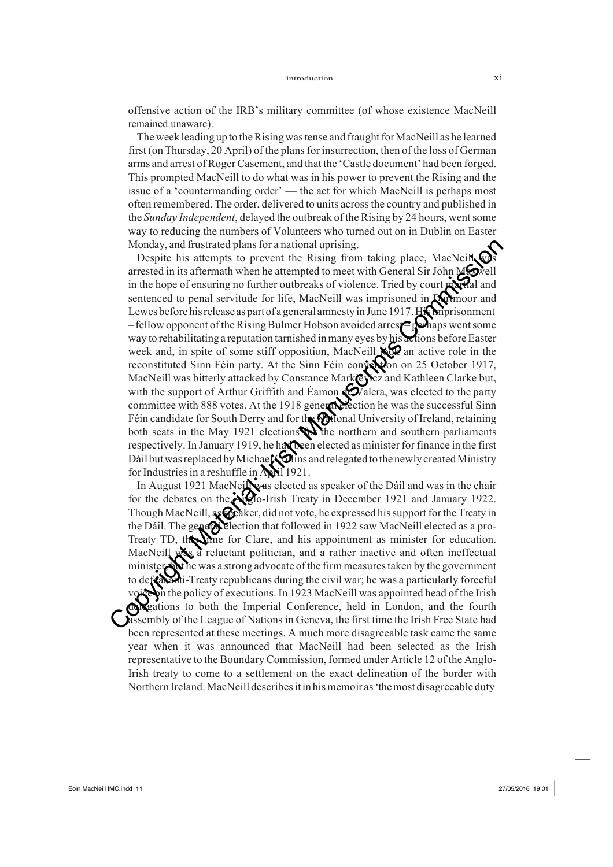offensive action of the IRB's military committee (of whose existence MacNeill remained unaware).

The week leading up to the Rising was tense and fraught for MacNeill as he learned first (onThursday, 20 April) of the plansfor insurrection, then of the loss of German arms and arrest ofRogerCasement, and that the 'Castle document' had been forged. This prompted MacNeill to do what was in his power to prevent the Rising and the issue of a 'countermanding order' — the act for which MacNeill is perhaps most often remembered.The order, delivered to units acrossthe country and published in the *Sunday Independent*, delayed the outbreak of the Rising by 24 hours, wentsome way to reducing the numbers of Volunteers who turned out on in Dublin on Easter Monday, and frustrated plans for a national uprising.

Despite his attempts to prevent the Rising from taking place, MacNeill, arrested in its aftermath when he attempted to meet with General Sir John Maxwell in the hope of ensuring no further outbreaks of violence. Tried by court married and sentenced to penal servitude for life, MacNeill was imprisoned in Dartmoor and Lewes before his release as part of a general amnesty in June 1917. His miprisonment – fellow opponent of the Rising Bulmer Hobson avoided arrest – perhaps went some way to rehabilitating a reputation tarnished in many eyes by his actions before Easter week and, in spite of some stiff opposition, MacNeill to an active role in the reconstituted Sinn Féin party. At the Sinn Féin convertion on 25 October 1917, MacNeill was bitterly attacked by Constance Markeyicz and Kathleen Clarke but, with the support of Arthur Griffith and Éamon  $\bigotimes$ alera, was elected to the party committee with 888 votes. At the 1918 general election he was the successful Sinn Féin candidate for South Derry and for the Mational University of Ireland, retaining both seats in the May 1921 elections the northern and southern parliaments respectively. In January 1919, he had been elected as minister for finance in the first Dáil but was replaced by Michael  $\bigcirc$  ins and relegated to the newly created Ministry for Industries in a reshuffle in April 1921. Monday, and frustrated plans for a national uprising<br>
Despite his attempts to prevent the Rising from taking place. MacNeit Corrected in its athermath whom he attempted to meet with General Sir John MCale<br>
in the hope of

In August 1921 MacNeil was elected as speaker of the Dáil and was in the chair for the debates on the Aiglo-Irish Treaty in December 1921 and January 1922. Though MacNeill, as **@** caker, did not vote, he expressed his support for the Treaty in the Dáil. The general election that followed in 1922 saw MacNeill elected as a pro-Treaty TD, the for Clare, and his appointment as minister for education. MacNeill was a reluctant politician, and a rather inactive and often ineffectual minister, the was a strong advocate of the firm measures taken by the government to defeatural Treaty republicans during the civil war; he was a particularly forceful voice on the policy of executions. In 1923 MacNeill was appointed head of the Irish delegations to both the Imperial Conference, held in London, and the fourth assembly of the League of Nations in Geneva, the first time the Irish Free State had been represented at these meetings. A much more disagreeable task came the same year when it was announced that MacNeill had been selected as the Irish representative to the Boundary Commission, formed under Article 12 of the Anglo-Irish treaty to come to a settlement on the exact delineation of the border with Northern Ireland.MacNeill describesitin hismemoir as'themost disagreeable duty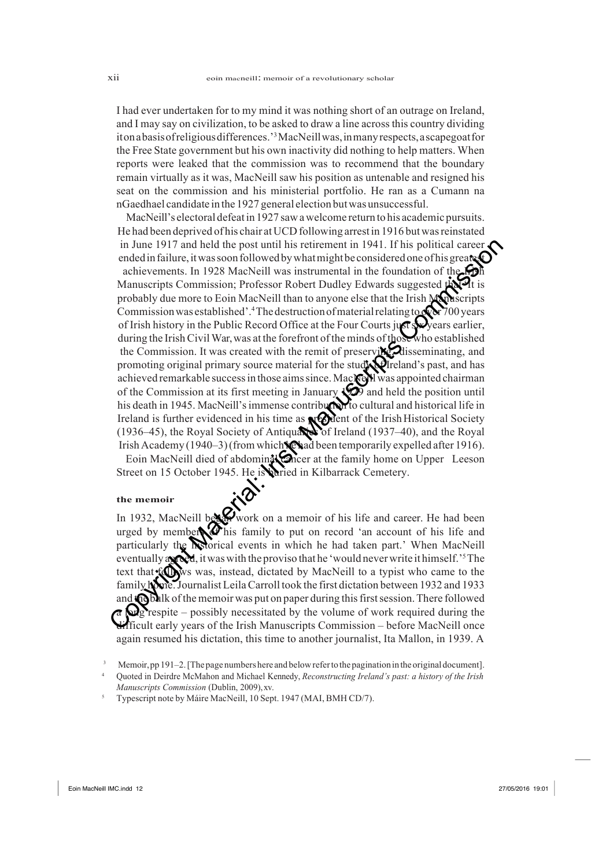I had ever undertaken for to my mind it was nothing short of an outrage on Ireland, and I may say on civilization, to be asked to draw a line acrossthis country dividing itonabasisofreligiousdifferences.'3MacNeillwas,inmanyrespects,ascapegoatfor the Free State government but his own inactivity did nothing to help matters. When reports were leaked that the commission was to recommend that the boundary remain virtually as it was, MacNeill saw his position as untenable and resigned his seat on the commission and his ministerial portfolio. He ran as a Cumann na nGaedhael candidate in the 1927 general election but was unsuccessful.

MacNeill's electoral defeatin 1927 sawawelcome return to his academic pursuits. He had been deprived of his chair atUCD following arrest in 1916 butwasreinstated in June 1917 and held the post until his retirement in 1941. If his political career  $\mathcal L$ ended in failure, it was soon followed by what might be considered one of his greates achievements. In 1928 MacNeill was instrumental in the foundation of the Manuscripts Commission; Professor Robert Dudley Edwards suggested the probably due more to Eoin MacNeill than to anyone else that the Irish Manuscripts Commission was established'.<sup>4</sup>The destruction of material relating to  $\sqrt{\sqrt{2}}$  700 years of Irish history in the Public Record Office at the Four Courts just swears earlier, during the Irish Civil War, was at the forefront of the minds of those who established the Commission. It was created with the remit of preservi**ng,** disseminating, and promoting original primary source material for the study of Ireland's past, and has achieved remarkable success in those aims since. MacNeW was appointed chairman of the Commission at its first meeting in January 1929 and held the position until his death in 1945. MacNeill's immense contribution to cultural and historical life in Ireland is further evidenced in his time as  $\mathbb{R}$  ent of the Irish Historical Society (1936–45), the Royal Society of Antiquaries of Ireland (1937–40), and the Royal Irish Academy (1940–3) (from which **Ne** had been temporarily expelled after 1916). in June 1917 and held the post uniil his retirement in 1941. If his political career<br>endentiality and some followed by what might becomissioned and followed and<br>enhicroments. In 1928 MacNeill was instrumental in the found

Eoin MacNeill died of abdominal Concer at the family home on Upper Leeson Street on 15 October 1945. He is buried in Kilbarrack Cemetery.

#### **the memoir**

In 1932, MacNeill between a memoir of his life and career. He had been urged by members  $\bullet$  his family to put on record 'an account of his life and particularly the **hedorical** events in which he had taken part.' When MacNeill eventually agreed, it was with the proviso that he 'would never write it himself.'<sup>5</sup>The text that follows was, instead, dictated by MacNeill to a typist who came to the family home. Journalist Leila Carroll took the first dictation between 1932 and 1933 and the bulk of the memoir was put on paper during this first session. There followed  $\Omega$  respite – possibly necessitated by the volume of work required during the difficult early years of the Irish Manuscripts Commission – before MacNeill once again resumed his dictation, this time to another journalist, Ita Mallon, in 1939. A

Memoir, pp 191–2. [The page numbers here and below refer to the pagination in the original document].

<sup>4</sup> Quoted in Deirdre McMahon and Michael Kennedy, *Reconstructing Ireland's past: a history of the Irish Manuscripts Commission* (Dublin, 2009),xv.

<sup>5</sup> Typescript note by Máire MacNeill, 10 Sept. 1947 (MAI, BMH CD/7).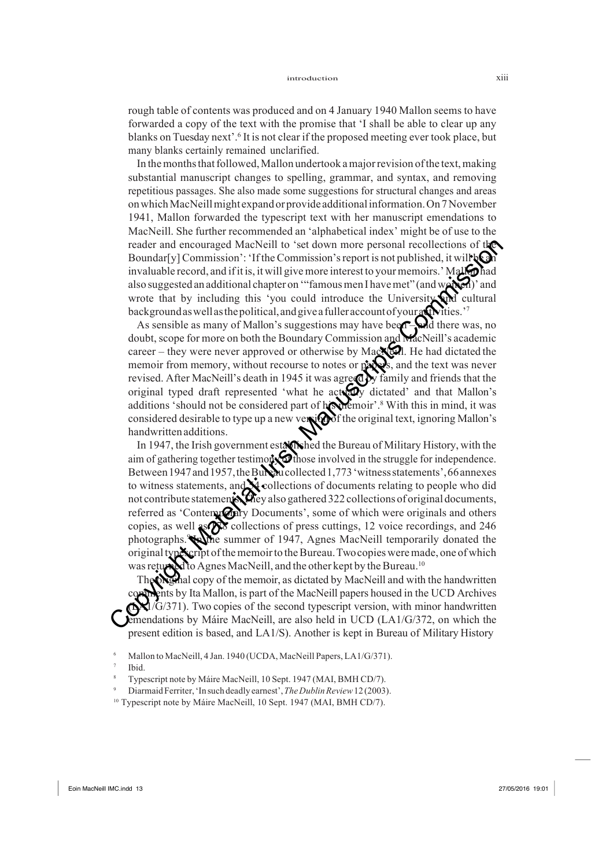rough table of contents was produced and on 4 January 1940 Mallon seems to have forwarded a copy of the text with the promise that 'I shall be able to clear up any blanks on Tuesday next'.6 It is not clear if the proposed meeting ever took place, but many blanks certainly remained unclarified.

In the months that followed, Mallon undertook a major revision of the text, making substantial manuscript changes to spelling, grammar, and syntax, and removing repetitious passages. She also made some suggestions for structural changes and areas onwhichMacNeillmight expand orprovide additionalinformation.On 7November 1941, Mallon forwarded the typescript text with her manuscript emendations to MacNeill. She further recommended an 'alphabetical index' might be of use to the reader and encouraged MacNeill to 'set down more personal recollections of the Boundar[y] Commission': 'If the Commission's report is not published, it will  $\log$ invaluable record, and if it is, it will give more interest to your memoirs.' Mall  $\bigcirc$  had also suggested an additional chapter on "famous men I have met" (and women)' and wrote that by including this 'you could introduce the University and cultural background as well as the political, and give a fuller account of your at wities.'<sup>7</sup>

As sensible as many of Mallon's suggestions may have been –selected there was, no doubt, scope for more on both the Boundary Commission and **MacNeill**'s academic career – they were never approved or otherwise by Mac<sub>Ne</sub>Il. He had dictated the memoir from memory, without recourse to notes or papers, and the text was never revised. After MacNeill's death in 1945 it was agreed by family and friends that the original typed draft represented 'what he actually dictated' and that Mallon's additions 'should not be considered part of his memoir'.<sup>8</sup> With this in mind, it was considered desirable to type up a new version of the original text, ignoring Mallon's handwritten additions.

In 1947, the Irish government estation of Bureau of Military History, with the aim of gathering together testimony of those involved in the struggle for independence. Between 1947 and 1957, the Bureau collected 1,773 'witness statements', 66 annexes to witness statements, and  $\mathbf{\hat{M}}$  collections of documents relating to people who did not contribute statements. They also gathered 322 collections of original documents, referred as 'Contemporary Documents', some of which were originals and others copies, as well  $\sqrt{8}$  collections of press cuttings, 12 voice recordings, and 246 photographs. Soline summer of 1947, Agnes MacNeill temporarily donated the original typescript of the memoir to the Bureau. Two copies were made, one of which was returned to Agnes MacNeill, and the other kept by the Bureau.<sup>10</sup> reader and encounged MacNeill to 'set down more personal recollections of rito Boundarly Commission's Tribe Commission's report is not published, it will know two memoirs. Manuscripts in the commission is proportion in la

The ONS had copy of the memoir, as dictated by MacNeill and with the handwritten comments by Ita Mallon, is part of the MacNeill papers housed in the UCD Archives  $\mathcal{L}/\mathcal{G}/371$ ). Two copies of the second typescript version, with minor handwritten emendations by Máire MacNeill, are also held in UCD (LA1/G/372, on which the present edition is based, and LA1/S). Another is kept in Bureau of Military History

Mallon to MacNeill, 4 Jan. 1940 (UCDA, MacNeill Papers, LA1/G/371).

Ibid.

<sup>8</sup> Typescript note by Máire MacNeill, 10 Sept. 1947 (MAI, BMH CD/7).

<sup>9</sup> DiarmaidFerriter,'In such deadly earnest',*TheDublinReview*12 (2003).

<sup>&</sup>lt;sup>10</sup> Typescript note by Máire MacNeill, 10 Sept. 1947 (MAI, BMH CD/7).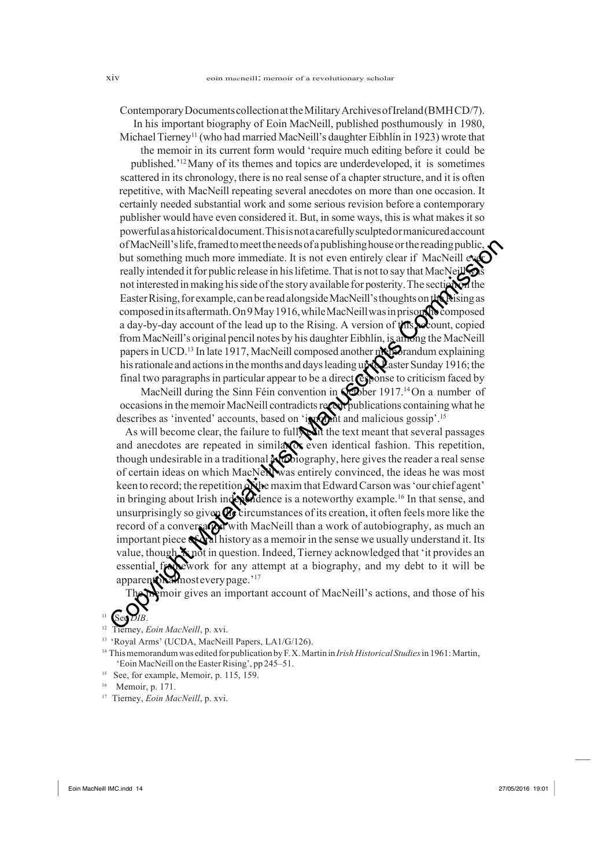ContemporaryDocumentscollectionattheMilitaryArchivesofIreland(BMHCD/7).

In his important biography of Eoin MacNeill, published posthumously in 1980, Michael Tierney<sup>11</sup> (who had married MacNeill's daughter Eibhlín in 1923) wrote that

the memoir in its current form would 'require much editing before it could be published.'12 Many of its themes and topics are underdeveloped, it is sometimes scattered in its chronology, there is no real sense of a chapter structure, and it is often repetitive, with MacNeill repeating several anecdotes on more than one occasion. It certainly needed substantial work and some serious revision before a contemporary publisher would have even considered it. But, in some ways, thisis what makesit so powerfulasahistoricaldocument.Thisisnotacarefullysculptedormanicuredaccount of MacNeill's life, framed to meet the needs of a publishing house or the reading public, but something much more immediate. It is not even entirely clear if MacNeill ever really intended it for public release in his lifetime. That is not to say that MacNeill not interested in making his side of the story available for posterity. The section of the Easter Rising, for example, can be read alongside MacNeill's thoughts on the Rising as composed in its aftermath. On 9 May 1916, while MacNeill was in prison, the composed a day-by-day account of the lead up to the Rising. A version of  $\frac{1}{18}$   $\frac{1}{2}$  copied from MacNeill's original pencil notes by his daughter Eibhlín, is among the MacNeill papers in UCD.<sup>13</sup> In late 1917, MacNeill composed another memorandum explaining his rationale and actions in the months and days leading up to easter Sunday 1916; the final two paragraphs in particular appear to be a direct  $\mathbb{C}$  ponse to criticism faced by

MacNeill during the Sinn Féin convention in  $\mathbb{Q}$  ber 1917.<sup>14</sup> On a number of occasions in the memoir MacNeill contradicts recent publications containing what he describes as 'invented' accounts, based on 'in  $\mathbf{Q}$  integrational malicious gossip'.<sup>15</sup>

As will become clear, the failure to fully the text meant that several passages and anecdotes are repeated in similar  $\alpha$  even identical fashion. This repetition, though undesirable in a traditional  $\frac{1}{2}$  obiography, here gives the reader a real sense of certain ideas on which MacNeWwas entirely convinced, the ideas he was most keen to record; the repetition of the maxim that Edward Carson was 'our chief agent' in bringing about Irish independence is a noteworthy example.<sup>16</sup> In that sense, and unsurprisingly so given  $\mathbb Q$  circumstances of its creation, it often feels more like the record of a conversation with MacNeill than a work of autobiography, as much an important piece  $\mathbb{C}[X]$  history as a memoir in the sense we usually understand it. Its value, though, K not in question. Indeed, Tierney acknowledged that 'it provides an essential framework for any attempt at a biography, and my debt to it will be almosteverypage.'<sup>17</sup> of MacNeill's life, framed to meet the needs of a publishing house or the reading public<br>but something much more immediate. It is not even entirely clear if MacNeill exp<br>
really intended it for public release in his lifet

moir gives an important account of MacNeill's actions, and those of his

- erney, *Eoin MacNeill*, p. xvi.
- 13 'Royal Arms' (UCDA, MacNeill Papers, LA1/G/126).
- <sup>14</sup> Thismemorandumwas edited for publication byF.X.Martin in *IrishHistorical Studies*in 1961:Martin, 'Eoin MacNeill on theEasterRising', pp 245–51.
- <sup>15</sup> See, for example, Memoir, p. 115, 159.
- 16 Memoir, p. 171.
- <sup>17</sup> Tierney, *Eoin MacNeill*, p. xvi.

<sup>11</sup> See *DIB*.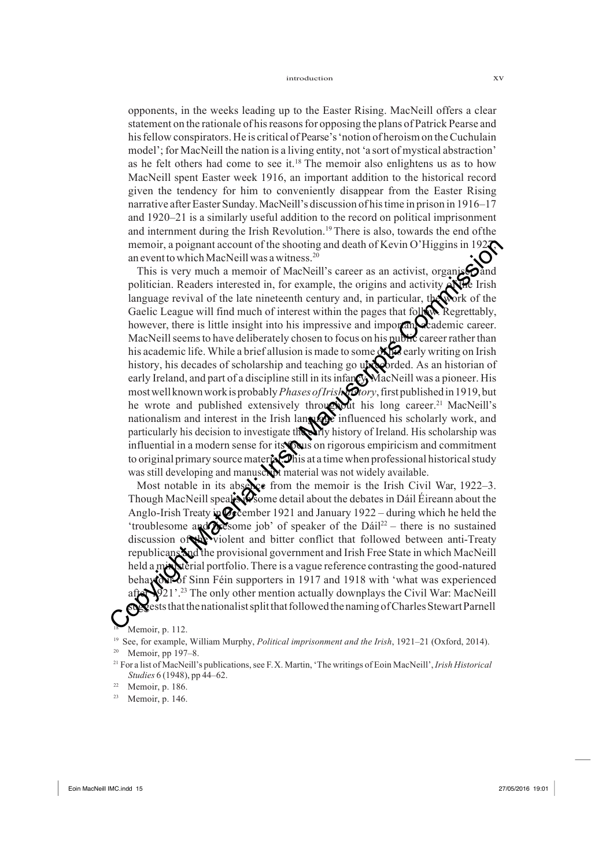opponents, in the weeks leading up to the Easter Rising. MacNeill offers a clear statement on the rationale of hisreasonsfor opposing the plans of Patrick Pearse and his fellow conspirators. He is critical of Pearse's 'notion of heroism on the Cuchulain model'; for MacNeill the nation is a living entity, not 'a sort of mystical abstraction' as he felt others had come to see it.<sup>18</sup> The memoir also enlightens us as to how MacNeill spent Easter week 1916, an important addition to the historical record given the tendency for him to conveniently disappear from the Easter Rising narrative afterEaster Sunday.MacNeill's discussion of histime in prison in 1916–17 and 1920–21 is a similarly useful addition to the record on political imprisonment and internment during the Irish Revolution.19 There is also, towards the end ofthe memoir, a poignant account of the shooting and death of Kevin O'Higgins in 192 $\bullet$ an event to which MacNeill was a witness.<sup>20</sup>

This is very much a memoir of MacNeill's career as an activist, organis $\bigcirc$  and politician. Readers interested in, for example, the origins and activity of the Irish language revival of the late nineteenth century and, in particular, the work of the Gaelic League will find much of interest within the pages that follow. Regrettably, however, there is little insight into his impressive and important academic career. MacNeill seems to have deliberately chosen to focus on his public career rather than his academic life. While a brief allusion is made to some  $\mathbf{X}$  early writing on Irish history, his decades of scholarship and teaching go unrecorded. As an historian of early Ireland, and part of a discipline still in its infancy MacNeill was a pioneer. His mostwellknownworkisprobably*PhasesofIrishhistory*,firstpublishedin1919,but he wrote and published extensively throughout his long career.<sup>21</sup> MacNeill's nationalism and interest in the Irish language influenced his scholarly work, and particularly his decision to investigate the early history of Ireland. His scholarship was influential in a modern sense for its **focus** on rigorous empiricism and commitment to original primary source material. This at a time when professional historical study was still developing and manuscript material was not widely available. menoir, a poignant account of the shooting and death of Kevin O'Higgins in 1922<br>
are ware the which MacNeill was avituas.<sup>20</sup><br>
This is very much a memoir of MacNeill's carecr as an activist, organized<br>
politician. Readers

Most notable in its absence from the memoir is the Irish Civil War,  $1922-3$ . Though MacNeill speak Some detail about the debates in Dáil Éireann about the Anglo-Irish Treaty in  $\mathcal{O}_3$  cember 1921 and January 1922 – during which he held the 'troublesome and  $\alpha$  is some job' of speaker of the Dáil<sup>22</sup> – there is no sustained discussion of the violent and bitter conflict that followed between anti-Treaty republicans and the provisional government and Irish Free State in which MacNeill held a ministerial portfolio. There is a vague reference contrasting the good-natured behaviour of Sinn Féin supporters in 1917 and 1918 with 'what was experienced  $\mathcal{Q}$ 21'.<sup>23</sup> The only other mention actually downplays the Civil War: MacNeill stests that the nationalist split that followed the naming of Charles Stewart Parnell

#### Memoir, p. 112.

<sup>19</sup> See, for example, William Murphy, *Political imprisonment and the Irish*, 1921–21 (Oxford, 2014). Memoir, pp 197–8.

<sup>&</sup>lt;sup>21</sup> For a list of MacNeill's publications, see F.X. Martin, 'The writings of Eoin MacNeill', *Irish Historical Studies* 6 (1948), pp 44–62.

 $22$  Memoir, p. 186.

<sup>23</sup> Memoir, p. 146.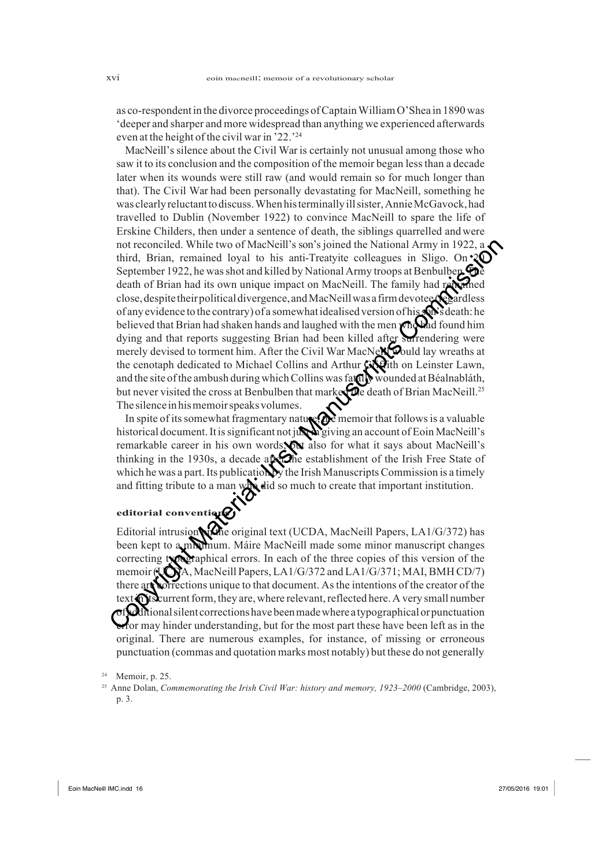as co-respondent in the divorce proceedings ofCaptainWilliamO'Shea in 1890 was 'deeper and sharper and more widespread than anything we experienced afterwards even at the height of the civil war in '22.'24

MacNeill's silence about the Civil War is certainly not unusual among those who saw it to its conclusion and the composition of the memoir began lessthan a decade later when its wounds were still raw (and would remain so for much longer than that). The Civil War had been personally devastating for MacNeill, something he was clearly reluctantto discuss.When histerminally illsister,AnnieMcGavock,had travelled to Dublin (November 1922) to convince MacNeill to spare the life of Erskine Childers, then under a sentence of death, the siblings quarrelled andwere not reconciled. While two of MacNeill's son's joined the National Army in 1922, a third, Brian, remained loyal to his anti-Treatyite colleagues in Sligo. On  $20$ September 1922, he was shot and killed by National Army troops at Benbulben.  $\bullet$ death of Brian had its own unique impact on MacNeill. The family had re close, despite their political divergence, and MacNeill was a firm devotee  $\mathcal{R}$ of any evidence to the contrary) of a somewhat idealised version of his on's death: he believed that Brian had shaken hands and laughed with the men who had found him dying and that reports suggesting Brian had been killed after surrendering were merely devised to torment him. After the Civil War MacNe $\mathbb{N}$  would lay wreaths at the cenotaph dedicated to Michael Collins and Arthur Griffith on Leinster Lawn, and the site of the ambush during which Collins was fatally wounded at Béalnabláth, but never visited the cross at Benbulben that marked the death of Brian MacNeill.<sup>25</sup> The silence in his memoir speaks volumes. not reconciled. While two of MacNeill's son's joined the National Army in 1922, a<br>thrid, Brian, remained olyal to its anti-Traetyie collegaues in Sligo. On 2<br>Coptiember 1922, he was shot and killed by National Army troops

In spite of its somewhat fragmentary nature,  $\Omega$  memoir that follows is a valuable historical document. It is significant not just in giving an account of Eoin MacNeill's remarkable career in his own words, the also for what it says about MacNeill's thinking in the 1930s, a decade after the establishment of the Irish Free State of which he was a part. Its publication by the Irish Manuscripts Commission is a timely and fitting tribute to a man with did so much to create that important institution.

#### **editorial conventions**

Editorial intrusion of the original text (UCDA, MacNeill Papers, LA1/G/372) has been kept to a minimum. Máire MacNeill made some minor manuscript changes correcting typographical errors. In each of the three copies of this version of the memoir (UCDA, MacNeill Papers, LA1/G/372 and LA1/G/371; MAI, BMH CD/7) there are corrections unique to that document. As the intentions of the creator of the text  $\bigcap$  is current form, they are, where relevant, reflected here. A very small number  $\sigma$ f $\Delta$ ditional silent corrections have been made where a typographical or punctuation erfor may hinder understanding, but for the most part these have been left as in the original. There are numerous examples, for instance, of missing or erroneous punctuation (commas and quotation marks most notably) but these do not generally

 $24$  Memoir, p. 25.

<sup>&</sup>lt;sup>25</sup> Anne Dolan, *Commemorating the Irish Civil War: history and memory, 1923–2000* (Cambridge, 2003), p. 3.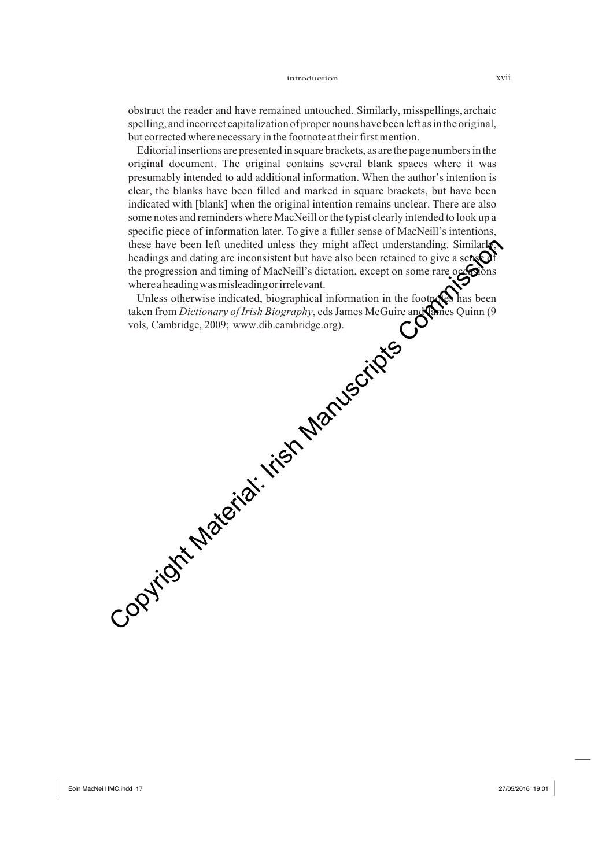obstruct the reader and have remained untouched. Similarly, misspellings,archaic spelling, and incorrect capitalization of proper nouns have been left as in the original, but corrected where necessary in the footnote at their first mention.

Editorial insertions are presented in square brackets, as are the page numbers in the original document. The original contains several blank spaces where it was presumably intended to add additional information. When the author's intention is clear, the blanks have been filled and marked in square brackets, but have been indicated with [blank] when the original intention remains unclear. There are also some notes and reminders where MacNeill orthe typist clearly intended to look up a specific piece of information later. To give a fuller sense of MacNeill's intentions, these have been left unedited unless they might affect understanding. Similarly, headings and dating are inconsistent but have also been retained to give a sense of the progression and timing of MacNeill's dictation, except on some rare  $\alpha \in \mathbb{C}$  ons whereaheadingwasmisleadingorirrelevant. these have been left undited unless they might affect understanding. Similarly<br>he alting and during of MacNeill's dictation, except on some reaches the trending and the image of MacNeill's dictation, except on some reaches

Unless otherwise indicated, biographical information in the footnotes has been taken from *Dictionary of Irish Biography*, eds James McGuire and James Quinn (9 vols, Cambridge, 2009; www.dib.cambridge.org).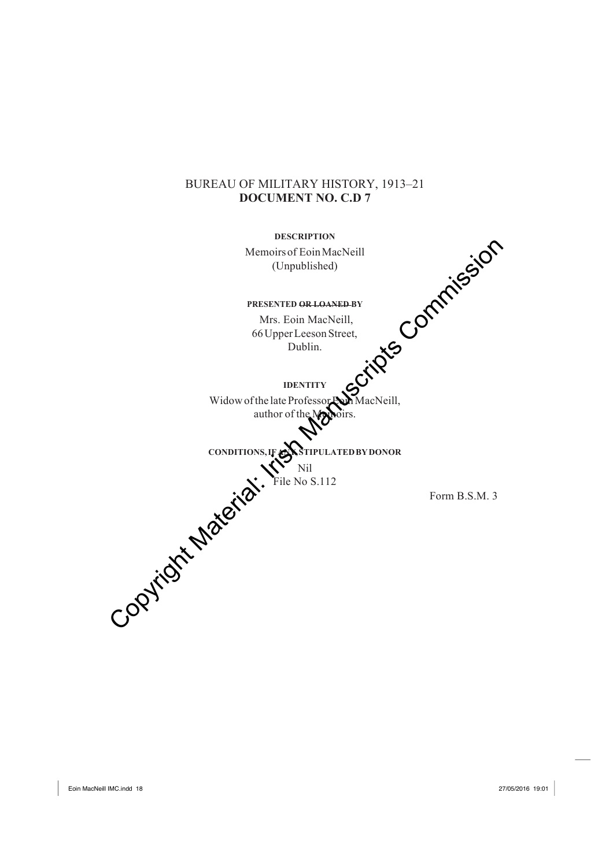## BUREAU OF MILITARY HISTORY, 1913–21 **DOCUMENT NO. C.D 7**

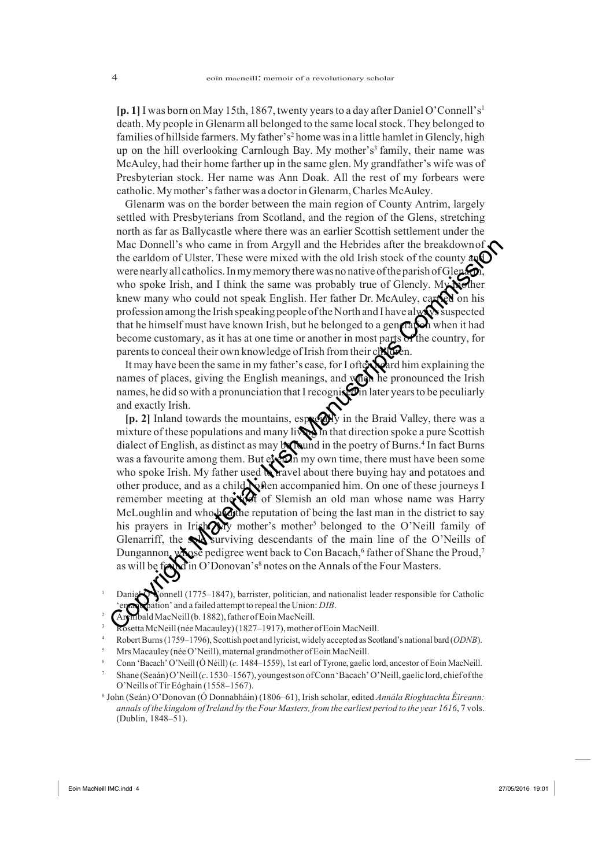**[p. 1]** I was born on May 15th, 1867, twenty yearsto a day after Daniel O'Connell's1 death. My people in Glenarm all belonged to the same local stock. They belonged to families of hillside farmers. My father's<sup>2</sup> home was in a little hamlet in Glencly, high up on the hill overlooking Carnlough Bay. My mother's<sup>3</sup> family, their name was McAuley, had their home farther up in the same glen. My grandfather's wife was of Presbyterian stock. Her name was Ann Doak. All the rest of my forbears were catholic. My mother's father was a doctor in Glenarm, Charles McAuley.

Glenarm was on the border between the main region of County Antrim, largely settled with Presbyterians from Scotland, and the region of the Glens, stretching north as far as Ballycastle where there was an earlier Scottish settlement under the Mac Donnell's who came in from Argyll and the Hebrides after the breakdown of the earldom of Ulster. These were mixed with the old Irish stock of the county and were nearly all catholics. In my memory there was no native of the parish of Glenarm who spoke Irish, and I think the same was probably true of Glencly. My mother knew many who could not speak English. Her father Dr. McAuley, carried on his profession among the Irish speaking people of the North and I have always suspected that he himself must have known Irish, but he belonged to a generation when it had become customary, as it has at one time or another in most parts of the country, for parents to conceal their own knowledge of Irish from their children.

It may have been the same in my father's case, for I often and him explaining the names of places, giving the English meanings, and when he pronounced the Irish names, he did so with a pronunciation that I recognised in later years to be peculiarly and exactly Irish.

**[p. 2]** Inland towards the mountains, especially in the Braid Valley, there was a mixture of these populations and many lives in that direction spoke a pure Scottish dialect of English, as distinct as may be found in the poetry of Burns.<sup>4</sup> In fact Burns was a favourite among them. But  $\epsilon$   $\Omega$  m my own time, there must have been some who spoke Irish. My father used  $\mathbf{\hat{N}}$  ravel about there buying hay and potatoes and other produce, and as a child **N** ften accompanied him. On one of these journeys I remember meeting at the  $\mathcal{K}$  of Slemish an old man whose name was Harry McLoughlin and who had the reputation of being the last man in the district to say his prayers in Irishowy mother's mother<sup>5</sup> belonged to the O'Neill family of Glenarriff, the soll surviving descendants of the main line of the O'Neills of Dungannon, whose pedigree went back to Con Bacach,<sup>6</sup> father of Shane the Proud,<sup>7</sup> as will be found in O'Donovan's<sup>8</sup> notes on the Annals of the Four Masters. Mac Donnell's who came in from Argyll and the Hebrides after the breakdown of Were the eardoor of Uster. These were mixed with the old Irish stock of the county and the endotor of the computer was probably true of Glency.

<sup>&</sup>lt;sup>1</sup> Daniel O'Connell (1775–1847), barrister, politician, and nationalist leader responsible for Catholic  $\phi$ ation' and a failed attempt to repeal the Union: *DIB*.

<sup>&</sup>lt;sup>2</sup>  $A$ rchibald MacNeill (b. 1882), father of Eoin MacNeill.

Rosetta McNeill (née Macauley) (1827–1917), mother of Eoin MacNeill.

<sup>4</sup> RobertBurns(1759–1796), Scottish poet and lyricist, widely accepted as Scotland's national bard (*ODNB*).

<sup>&</sup>lt;sup>5</sup> Mrs Macauley (née O'Neill), maternal grandmother of Eoin MacNeill.

<sup>6</sup> Conn 'Bacach' O'Neill (Ó Néill) (*c.* 1484–1559), 1st earl of Tyrone, gaelic lord, ancestor of Eoin MacNeill.

<sup>7</sup> Shane (Seaán)O'Neill(*c*.1530–1567),youngestsonofConn'Bacach'O'Neill,gaelic lord, chiefofthe O'Neills ofTír Eóghain (1558–1567).

<sup>8</sup> John (Seán) O'Donovan (Ó Donnabháin) (1806–61), Irish scholar, edited *Annála Ríoghtachta Éireann:*  annals of the kingdom of Ireland by the Four Masters, from the earliest period to the year 1616, 7 vols. (Dublin, 1848–51).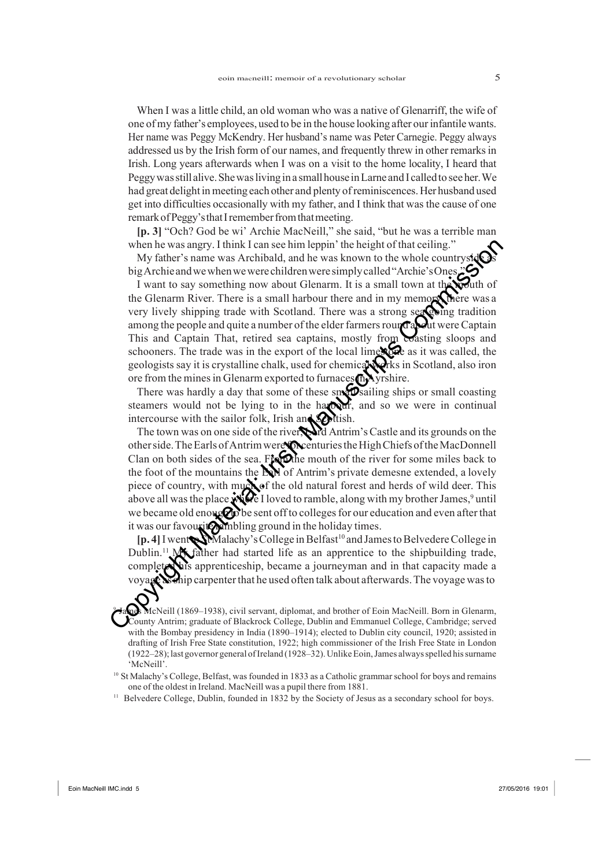When I was a little child, an old woman who was a native of Glenarriff, the wife of one ofmy father's employees, used to be in the house looking after ourinfantilewants. Her name was Peggy McKendry. Her husband's name was Peter Carnegie. Peggy always addressed us by the Irish form of our names, and frequently threw in other remarksin Irish. Long years afterwards when I was on a visit to the home locality, I heard that Peggywasstill alive.Shewaslivingin a smallhouse inLarne and I calledto see her.We had great delightin meeting each other and plenty ofreminiscences.Her husband used get into difficulties occasionally with my father, and I think that was the cause of one remark of Peggy's that I remember from that meeting.

**[p. 3]** "Och? God be wi' Archie MacNeill," she said, "but he was a terrible man when he was angry. I think I can see him leppin' the height of that ceiling."

My father's name was Archibald, and he was known to the whole countryside big Archie and we when we were children were simply called "Archie's Ones.

I want to say something now about Glenarm. It is a small town at the wouth of the Glenarm River. There is a small harbour there and in my memory, there was a very lively shipping trade with Scotland. There was a strong searching tradition among the people and quite a number of the elder farmers round about were Captain This and Captain That, retired sea captains, mostly from coasting sloops and schooners. The trade was in the export of the local lime to as it was called, the geologists say it is crystalline chalk, used for chemical works in Scotland, also iron ore from the mines in Glenarm exported to furnaces in Ayrshire. when he was angry. I think I can see him leppin' the height of that ceiling."<br>
My father's name was Archibald, and he was known to the whole countrystic<br>
light Archieand we when we weloconchident were simply called "Archi

There was hardly a day that some of these small sailing ships or small coasting steamers would not be lying to in the harbour, and so we were in continual intercourse with the sailor folk, Irish and Scottish.

The town was on one side of the river and Antrim's Castle and its grounds on the other side. The Earls of Antrim were **for** centuries the High Chiefs of the MacDonnell Clan on both sides of the sea. Fix the mouth of the river for some miles back to the foot of the mountains the **EV** of Antrim's private demesne extended, a lovely piece of country, with much of the old natural forest and herds of wild deer. This above all was the place  $\mathbf{W}$   $\mathbf{C}$  I loved to ramble, along with my brother James,<sup>9</sup> until we became old enough to sent off to colleges for our education and even after that it was our favourite ambling ground in the holiday times.

**[p. 4]** I went**oSt**Malachy's College in Belfast<sup>10</sup> and James to Belvedere College in Dublin.<sup>11</sup> My father had started life as an apprentice to the shipbuilding trade, complete this apprenticeship, became a journeyman and in that capacity made a at whip carpenter that he used often talk about afterwards. The voyage was to

McNeill (1869–1938), civil servant, diplomat, and brother of Eoin MacNeill. Born in Glenarm, County Antrim; graduate of Blackrock College, Dublin and Emmanuel College, Cambridge; served with the Bombay presidency in India (1890–1914); elected to Dublin city council, 1920; assisted in drafting of Irish Free State constitution, 1922; high commissioner of the Irish Free State in London (1922–28); last governor general ofIreland (1928–32).UnlikeEoin,James alwaysspelled hissurname 'McNeill'.

<sup>10</sup> St Malachy's College, Belfast, was founded in 1833 as a Catholic grammar school for boys and remains one of the oldest in Ireland. MacNeill was a pupil there from 1881.

<sup>11</sup> Belvedere College, Dublin, founded in 1832 by the Society of Jesus as a secondary school for boys.